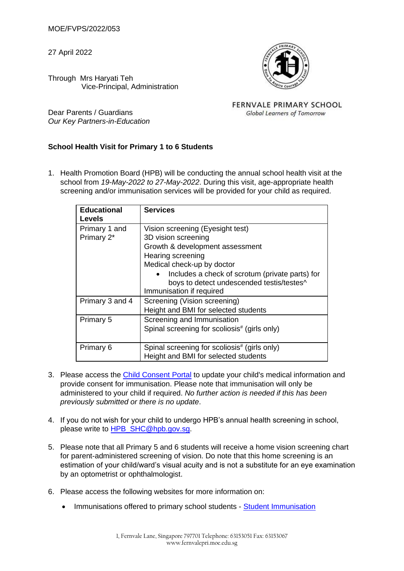MOE/FVPS/2022/053

27 April 2022



Through Mrs Haryati Teh Vice-Principal, Administration

Dear Parents / Guardians *Our Key Partners-in-Education* **FERNVALE PRIMARY SCHOOL** Global Learners of Tomorrow

## **School Health Visit for Primary 1 to 6 Students**

1. Health Promotion Board (HPB) will be conducting the annual school health visit at the school from *19-May-2022 to 27-May-2022*. During this visit, age-appropriate health screening and/or immunisation services will be provided for your child as required.

| <b>Educational</b><br>Levels | <b>Services</b>                                                                                                                                                                                                                                                           |
|------------------------------|---------------------------------------------------------------------------------------------------------------------------------------------------------------------------------------------------------------------------------------------------------------------------|
| Primary 1 and<br>Primary 2*  | Vision screening (Eyesight test)<br>3D vision screening<br>Growth & development assessment<br>Hearing screening<br>Medical check-up by doctor<br>Includes a check of scrotum (private parts) for<br>boys to detect undescended testis/testes^<br>Immunisation if required |
| Primary 3 and 4              | Screening (Vision screening)<br>Height and BMI for selected students                                                                                                                                                                                                      |
| Primary 5                    | Screening and Immunisation<br>Spinal screening for scoliosis <sup>#</sup> (girls only)                                                                                                                                                                                    |
| Primary 6                    | Spinal screening for scoliosis <sup>#</sup> (girls only)<br>Height and BMI for selected students                                                                                                                                                                          |

- 3. Please access the [Child Consent Portal](https://childconsent.hpb.gov.sg/) to update your child's medical information and provide consent for immunisation. Please note that immunisation will only be administered to your child if required. *No further action is needed if this has been previously submitted or there is no update*.
- 4. If you do not wish for your child to undergo HPB's annual health screening in school, please write to [HPB\\_SHC@hpb.gov.sg.](mailto:HPB_SHC@hpb.gov.sg)
- 5. Please note that all Primary 5 and 6 students will receive a home vision screening chart for parent-administered screening of vision. Do note that this home screening is an estimation of your child/ward's visual acuity and is not a substitute for an eye examination by an optometrist or ophthalmologist.
- 6. Please access the following websites for more information on:
	- Immunisations offered to primary school students [Student Immunisation](https://www.healthhub.sg/programmes/16/growing_up_strong_healthy/#Immunisations_Primary_School)